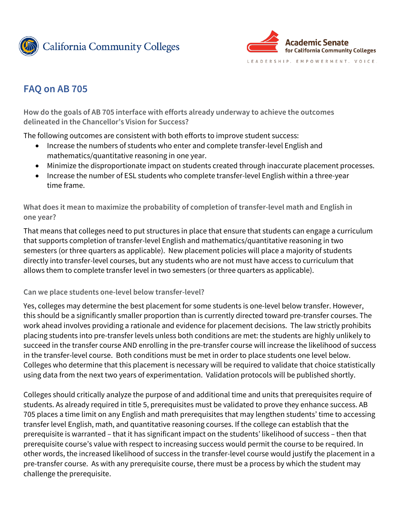



# **FAQ on AB 705**

**How do the goals of AB 705 interface with efforts already underway to achieve the outcomes delineated in the Chancellor's Vision for Success?** 

The following outcomes are consistent with both efforts to improve student success:

- Increase the numbers of students who enter and complete transfer-level English and mathematics/quantitative reasoning in one year.
- Minimize the disproportionate impact on students created through inaccurate placement processes.
- Increase the number of ESL students who complete transfer-level English within a three-year time frame.

**What does it mean to maximize the probability of completion of transfer-level math and English in one year?** 

That means that colleges need to put structures in place that ensure that students can engage a curriculum that supports completion of transfer-level English and mathematics/quantitative reasoning in two semesters (or three quarters as applicable). New placement policies will place a majority of students directly into transfer-level courses, but any students who are not must have access to curriculum that allows them to complete transfer level in two semesters (or three quarters as applicable).

#### **Can we place students one-level below transfer-level?**

Yes, colleges may determine the best placement for some students is one-level below transfer. However, this should be a significantly smaller proportion than is currently directed toward pre-transfer courses. The work ahead involves providing a rationale and evidence for placement decisions. The law strictly prohibits placing students into pre-transfer levels unless both conditions are met: the students are highly unlikely to succeed in the transfer course AND enrolling in the pre-transfer course will increase the likelihood of success in the transfer-level course. Both conditions must be met in order to place students one level below. Colleges who determine that this placement is necessary will be required to validate that choice statistically using data from the next two years of experimentation. Validation protocols will be published shortly.

Colleges should critically analyze the purpose of and additional time and units that prerequisites require of students. As already required in title 5, prerequisites must be validated to prove they enhance success. AB 705 places a time limit on any English and math prerequisites that may lengthen students' time to accessing transfer level English, math, and quantitative reasoning courses. If the college can establish that the prerequisite is warranted – that it has significant impact on the students' likelihood of success – then that prerequisite course's value with respect to increasing success would permit the course to be required. In other words, the increased likelihood of success in the transfer-level course would justify the placement in a pre-transfer course. As with any prerequisite course, there must be a process by which the student may challenge the prerequisite.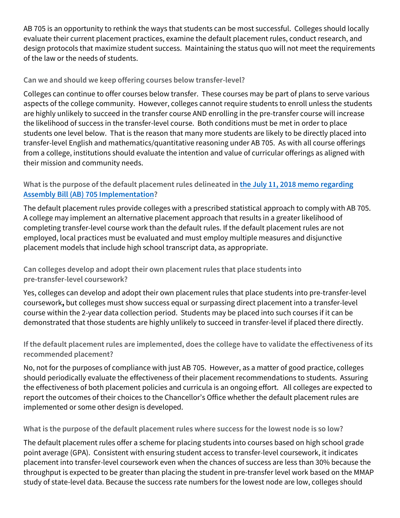AB 705 is an opportunity to rethink the ways that students can be most successful. Colleges should locally evaluate their current placement practices, examine the default placement rules, conduct research, and design protocols that maximize student success. Maintaining the status quo will not meet the requirements of the law or the needs of students.

## **Can we and should we keep offering courses below transfer-level?**

Colleges can continue to offer courses below transfer. These courses may be part of plans to serve various aspects of the college community. However, colleges cannot require students to enroll unless the students are highly unlikely to succeed in the transfer course AND enrolling in the pre-transfer course will increase the likelihood of success in the transfer-level course. Both conditions must be met in order to place students one level below. That is the reason that many more students are likely to be directly placed into transfer-level English and mathematics/quantitative reasoning under AB 705. As with all course offerings from a college, institutions should evaluate the intention and value of curricular offerings as aligned with their mission and community needs.

## **What is the purpose of the default placement rules delineated in the July 11[, 2018 memo regarding](https://asccc.org/sites/default/files/AA%2018-40%20AB%20705%20Implementation%20Memorandum_.pdf) Assembly Bill (AB) [705 Implementation?](https://asccc.org/sites/default/files/AA%2018-40%20AB%20705%20Implementation%20Memorandum_.pdf)**

The default placement rules provide colleges with a prescribed statistical approach to comply with AB 705. A college may implement an alternative placement approach that results in a greater likelihood of completing transfer-level course work than the default rules. If the default placement rules are not employed, local practices must be evaluated and must employ multiple measures and disjunctive placement models that include high school transcript data, as appropriate.

**Can colleges develop and adopt their own placement rules that place students into pre-transfer-level coursework?**

Yes, colleges can develop and adopt their own placement rules that place students into pre-transfer-level coursework**,** but colleges must show success equal or surpassing direct placement into a transfer-level course within the 2-year data collection period. Students may be placed into such courses if it can be demonstrated that those students are highly unlikely to succeed in transfer-level if placed there directly.

**If the default placement rules are implemented, does the college have to validate the effectiveness of its recommended placement?**

No, not for the purposes of compliance with just AB 705. However, as a matter of good practice, colleges should periodically evaluate the effectiveness of their placement recommendations to students. Assuring the effectiveness of both placement policies and curricula is an ongoing effort. All colleges are expected to report the outcomes of their choices to the Chancellor's Office whether the default placement rules are implemented or some other design is developed.

**What is the purpose of the default placement rules where success for the lowest node is so low?**

The default placement rules offer a scheme for placing students into courses based on high school grade point average (GPA). Consistent with ensuring student access to transfer-level coursework, it indicates placement into transfer-level coursework even when the chances of success are less than 30% because the throughput is expected to be greater than placing the student in pre-transfer level work based on the MMAP study of state-level data. Because the success rate numbers for the lowest node are low, colleges should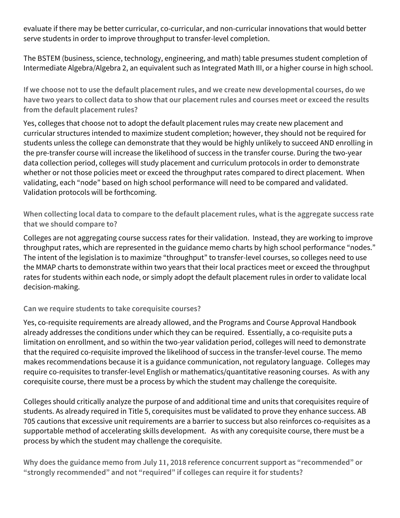evaluate if there may be better curricular, co-curricular, and non-curricular innovations that would better serve students in order to improve throughput to transfer-level completion.

The BSTEM (business, science, technology, engineering, and math) table presumes student completion of Intermediate Algebra/Algebra 2, an equivalent such as Integrated Math III, or a higher course in high school.

**If we choose not to use the default placement rules, and we create new developmental courses, do we have two years to collect data to show that our placement rules and courses meet or exceed the results from the default placement rules?**

Yes, colleges that choose not to adopt the default placement rules may create new placement and curricular structures intended to maximize student completion; however, they should not be required for students unless the college can demonstrate that they would be highly unlikely to succeed AND enrolling in the pre-transfer course will increase the likelihood of success in the transfer course. During the two-year data collection period, colleges will study placement and curriculum protocols in order to demonstrate whether or not those policies meet or exceed the throughput rates compared to direct placement. When validating, each "node" based on high school performance will need to be compared and validated. Validation protocols will be forthcoming.

**When collecting local data to compare to the default placement rules, what is the aggregate success rate that we should compare to?**

Colleges are not aggregating course success rates for their validation. Instead, they are working to improve throughput rates, which are represented in the guidance memo charts by high school performance "nodes." The intent of the legislation is to maximize "throughput" to transfer-level courses, so colleges need to use the MMAP charts to demonstrate within two years that their local practices meet or exceed the throughput rates for students within each node, or simply adopt the default placement rules in order to validate local decision-making.

### **Can we require students to take corequisite courses?**

Yes, co-requisite requirements are already allowed, and the Programs and Course Approval Handbook already addresses the conditions under which they can be required. Essentially, a co-requisite puts a limitation on enrollment, and so within the two-year validation period, colleges will need to demonstrate that the required co-requisite improved the likelihood of success in the transfer-level course. The memo makes recommendations because it is a guidance communication, not regulatory language. Colleges may require co-requisites to transfer-level English or mathematics/quantitative reasoning courses. As with any corequisite course, there must be a process by which the student may challenge the corequisite.

Colleges should critically analyze the purpose of and additional time and units that corequisites require of students. As already required in Title 5, corequisites must be validated to prove they enhance success. AB 705 cautions that excessive unit requirements are a barrier to success but also reinforces co-requisites as a supportable method of accelerating skills development. As with any corequisite course, there must be a process by which the student may challenge the corequisite.

**Why does the guidance memo from July 11, 2018 reference concurrent support as "recommended" or "strongly recommended" and not "required" if colleges can require it for students?**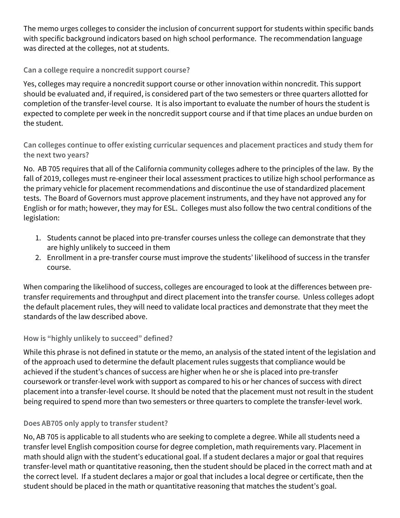The memo urges colleges to consider the inclusion of concurrent support for students within specific bands with specific background indicators based on high school performance. The recommendation language was directed at the colleges, not at students.

## **Can a college require a noncredit support course?**

Yes, colleges may require a noncredit support course or other innovation within noncredit. This support should be evaluated and, if required, is considered part of the two semesters or three quarters allotted for completion of the transfer-level course. It is also important to evaluate the number of hours the student is expected to complete per week in the noncredit support course and if that time places an undue burden on the student.

**Can colleges continue to offer existing curricular sequences and placement practices and study them for the next two years?** 

No. AB 705 requires that all of the California community colleges adhere to the principles of the law. By the fall of 2019, colleges must re-engineer their local assessment practices to utilize high school performance as the primary vehicle for placement recommendations and discontinue the use of standardized placement tests. The Board of Governors must approve placement instruments, and they have not approved any for English or for math; however, they may for ESL. Colleges must also follow the two central conditions of the legislation:

- 1. Students cannot be placed into pre-transfer courses unless the college can demonstrate that they are highly unlikely to succeed in them
- 2. Enrollment in a pre-transfer course must improve the students' likelihood of success in the transfer course.

When comparing the likelihood of success, colleges are encouraged to look at the differences between pretransfer requirements and throughput and direct placement into the transfer course. Unless colleges adopt the default placement rules, they will need to validate local practices and demonstrate that they meet the standards of the law described above.

### **How is "highly unlikely to succeed" defined?**

While this phrase is not defined in statute or the memo, an analysis of the stated intent of the legislation and of the approach used to determine the default placement rules suggests that compliance would be achieved if the student's chances of success are higher when he or she is placed into pre-transfer coursework or transfer-level work with support as compared to his or her chances of success with direct placement into a transfer-level course. It should be noted that the placement must not result in the student being required to spend more than two semesters or three quarters to complete the transfer-level work.

## **Does AB705 only apply to transfer student?**

No, AB 705 is applicable to all students who are seeking to complete a degree. While all students need a transfer level English composition course for degree completion, math requirements vary. Placement in math should align with the student's educational goal. If a student declares a major or goal that requires transfer-level math or quantitative reasoning, then the student should be placed in the correct math and at the correct level. If a student declares a major or goal that includes a local degree or certificate, then the student should be placed in the math or quantitative reasoning that matches the student's goal.